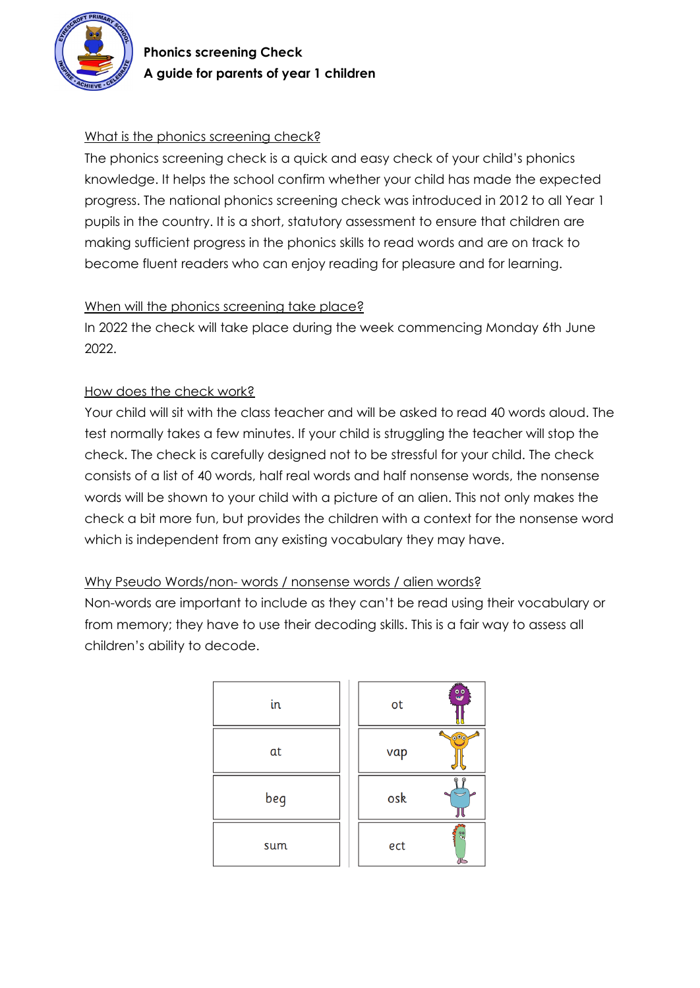

# What is the phonics screening check?

The phonics screening check is a quick and easy check of your child's phonics knowledge. It helps the school confirm whether your child has made the expected progress. The national phonics screening check was introduced in 2012 to all Year 1 pupils in the country. It is a short, statutory assessment to ensure that children are making sufficient progress in the phonics skills to read words and are on track to become fluent readers who can enjoy reading for pleasure and for learning.

## When will the phonics screening take place?

In 2022 the check will take place during the week commencing Monday 6th June 2022.

## How does the check work?

Your child will sit with the class teacher and will be asked to read 40 words aloud. The test normally takes a few minutes. If your child is struggling the teacher will stop the check. The check is carefully designed not to be stressful for your child. The check consists of a list of 40 words, half real words and half nonsense words, the nonsense words will be shown to your child with a picture of an alien. This not only makes the check a bit more fun, but provides the children with a context for the nonsense word which is independent from any existing vocabulary they may have.

## Why Pseudo Words/non- words / nonsense words / alien words?

Non-words are important to include as they can't be read using their vocabulary or from memory; they have to use their decoding skills. This is a fair way to assess all children's ability to decode.